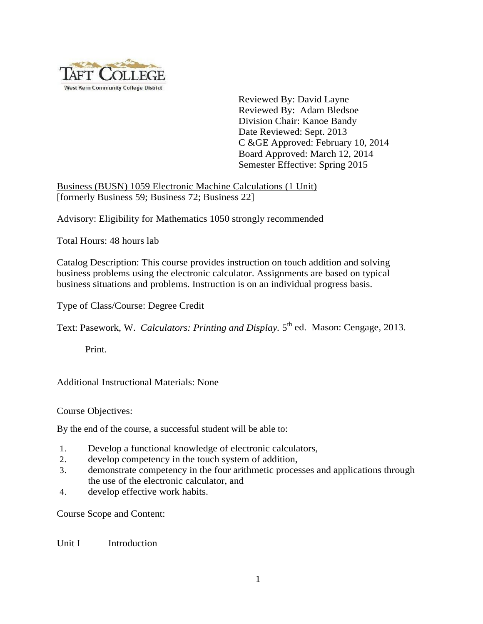

Reviewed By: David Layne Reviewed By: Adam Bledsoe Division Chair: Kanoe Bandy Date Reviewed: Sept. 2013 C &GE Approved: February 10, 2014 Board Approved: March 12, 2014 Semester Effective: Spring 2015

Business (BUSN) 1059 Electronic Machine Calculations (1 Unit) [formerly Business 59; Business 72; Business 22]

Advisory: Eligibility for Mathematics 1050 strongly recommended

Total Hours: 48 hours lab

Catalog Description: This course provides instruction on touch addition and solving business problems using the electronic calculator. Assignments are based on typical business situations and problems. Instruction is on an individual progress basis.

Type of Class/Course: Degree Credit

Text: Pasework, W. *Calculators: Printing and Display*. 5<sup>th</sup> ed. Mason: Cengage, 2013.

Print.

Additional Instructional Materials: None

Course Objectives:

By the end of the course, a successful student will be able to:

- 1. Develop a functional knowledge of electronic calculators,
- 2. develop competency in the touch system of addition,
- 3. demonstrate competency in the four arithmetic processes and applications through the use of the electronic calculator, and
- 4. develop effective work habits.

Course Scope and Content:

Unit I Introduction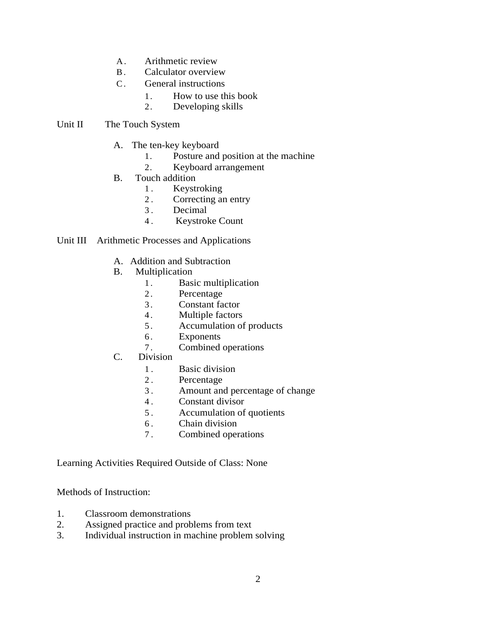- A . Arithmetic review
- B. Calculator overview
- C. General instructions
	- 1. How to use this book
	- 2. Developing skills

## Unit II The Touch System

- A. The ten-key keyboard
	- 1. Posture and position at the machine
	- 2. Keyboard arrangement
- B. Touch addition
	- 1. Keystroking
	- 2. Correcting an entry
	- 3. Decimal
	- 4 . Keystroke Count

## Unit III Arithmetic Processes and Applications

- A. Addition and Subtraction
- B. Multiplication
	- 1. Basic multiplication
	- 2. Percentage
	- 3 . Constant factor
	- 4. Multiple factors
	- 5 . Accumulation of products
	- 6 . Exponents
	- 7 . Combined operations
- C. Division
	- 1. Basic division
	- 2. Percentage
	- 3 . Amount and percentage of change
	- 4 . Constant divisor
	- 5 . Accumulation of quotients
	- 6 . Chain division
	- 7 . Combined operations

Learning Activities Required Outside of Class: None

Methods of Instruction:

- 1. Classroom demonstrations
- 2. Assigned practice and problems from text
- 3. Individual instruction in machine problem solving